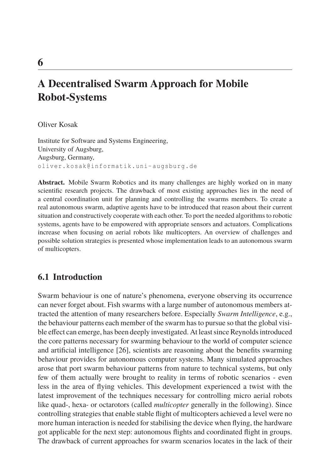# **A Decentralised Swarm Approach for Mobile Robot-Systems**

Oliver Kosak

Institute for Software and Systems Engineering, University of Augsburg, Augsburg, Germany, oliver.kosak@informatik.uni-augsburg.de

**Abstract.** Mobile Swarm Robotics and its many challenges are highly worked on in many scientific research projects. The drawback of most existing approaches lies in the need of a central coordination unit for planning and controlling the swarms members. To create a real autonomous swarm, adaptive agents have to be introduced that reason about their current situation and constructively cooperate with each other. To port the needed algorithms to robotic systems, agents have to be empowered with appropriate sensors and actuators. Complications increase when focusing on aerial robots like multicopters. An overview of challenges and possible solution strategies is presented whose implementation leads to an autonomous swarm of multicopters.

# **6.1 Introduction**

Swarm behaviour is one of nature's phenomena, everyone observing its occurrence can never forget about. Fish swarms with a large number of autonomous members attracted the attention of many researchers before. Especially *Swarm Intelligence*, e.g., the behaviour patterns each member of the swarm has to pursue so that the global visible effect can emerge, has been deeply investigated. At least since Reynolds introduced the core patterns necessary for swarming behaviour to the world of computer science and artificial intelligence [26], scientists are reasoning about the benefits swarming behaviour provides for autonomous computer systems. Many simulated approaches arose that port swarm behaviour patterns from nature to technical systems, but only few of them actually were brought to reality in terms of robotic scenarios - even less in the area of flying vehicles. This development experienced a twist with the latest improvement of the techniques necessary for controlling micro aerial robots like quad-, hexa- or octarotors (called *multicopter* generally in the following). Since controlling strategies that enable stable flight of multicopters achieved a level were no more human interaction is needed for stabilising the device when flying, the hardware got applicable for the next step: autonomous flights and coordinated flight in groups. The drawback of current approaches for swarm scenarios locates in the lack of their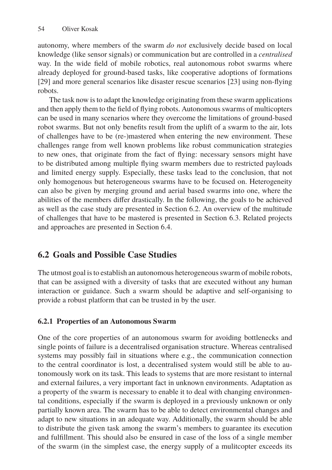autonomy, where members of the swarm *do not* exclusively decide based on local knowledge (like sensor signals) or communication but are controlled in a *centralised* way. In the wide field of mobile robotics, real autonomous robot swarms where already deployed for ground-based tasks, like cooperative adoptions of formations [29] and more general scenarios like disaster rescue scenarios [23] using non-flying robots.

The task now is to adapt the knowledge originating from these swarm applications and then apply them to the field of flying robots. Autonomous swarms of multicopters can be used in many scenarios where they overcome the limitations of ground-based robot swarms. But not only benefits result from the uplift of a swarm to the air, lots of challenges have to be (re-)mastered when entering the new environment. These challenges range from well known problems like robust communication strategies to new ones, that originate from the fact of flying: necessary sensors might have to be distributed among multiple flying swarm members due to restricted payloads and limited energy supply. Especially, these tasks lead to the conclusion, that not only homogenous but heterogeneous swarms have to be focused on. Heterogeneity can also be given by merging ground and aerial based swarms into one, where the abilities of the members differ drastically. In the following, the goals to be achieved as well as the case study are presented in Section 6.2. An overview of the multitude of challenges that have to be mastered is presented in Section 6.3. Related projects and approaches are presented in Section 6.4.

# **6.2 Goals and Possible Case Studies**

The utmost goal is to establish an autonomous heterogeneous swarm of mobile robots, that can be assigned with a diversity of tasks that are executed without any human interaction or guidance. Such a swarm should be adaptive and self-organising to provide a robust platform that can be trusted in by the user.

### **6.2.1 Properties of an Autonomous Swarm**

One of the core properties of an autonomous swarm for avoiding bottlenecks and single points of failure is a decentralised organisation structure. Whereas centralised systems may possibly fail in situations where e.g., the communication connection to the central coordinator is lost, a decentralised system would still be able to autonomously work on its task. This leads to systems that are more resistant to internal and external failures, a very important fact in unknown environments. Adaptation as a property of the swarm is necessary to enable it to deal with changing environmental conditions, especially if the swarm is deployed in a previously unknown or only partially known area. The swarm has to be able to detect environmental changes and adapt to new situations in an adequate way. Additionally, the swarm should be able to distribute the given task among the swarm's members to guarantee its execution and fulfillment. This should also be ensured in case of the loss of a single member of the swarm (in the simplest case, the energy supply of a mulitcopter exceeds its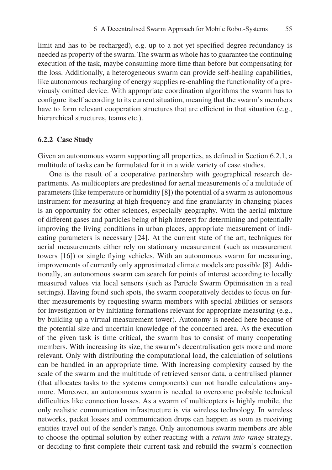limit and has to be recharged), e.g. up to a not yet specified degree redundancy is needed as property of the swarm. The swarm as whole has to guarantee the continuing execution of the task, maybe consuming more time than before but compensating for the loss. Additionally, a heterogeneous swarm can provide self-healing capabilities, like autonomous recharging of energy supplies re-enabling the functionality of a previously omitted device. With appropriate coordination algorithms the swarm has to configure itself according to its current situation, meaning that the swarm's members have to form relevant cooperation structures that are efficient in that situation (e.g., hierarchical structures, teams etc.).

#### **6.2.2 Case Study**

Given an autonomous swarm supporting all properties, as defined in Section 6.2.1, a multitude of tasks can be formulated for it in a wide variety of case studies.

One is the result of a cooperative partnership with geographical research departments. As multicopters are predestined for aerial measurements of a multitude of parameters (like temperature or humidity [8]) the potential of a swarm as autonomous instrument for measuring at high frequency and fine granularity in changing places is an opportunity for other sciences, especially geography. With the aerial mixture of different gases and particles being of high interest for determining and potentially improving the living conditions in urban places, appropriate measurement of indicating parameters is necessary [24]. At the current state of the art, techniques for aerial measurements either rely on stationary measurement (such as measurement towers [16]) or single flying vehicles. With an autonomous swarm for measuring, improvements of currently only approximated climate models are possible [8]. Additionally, an autonomous swarm can search for points of interest according to locally measured values via local sensors (such as Particle Swarm Optimisation in a real settings). Having found such spots, the swarm cooperatively decides to focus on further measurements by requesting swarm members with special abilities or sensors for investigation or by initiating formations relevant for appropriate measuring (e.g., by building up a virtual measurement tower). Autonomy is needed here because of the potential size and uncertain knowledge of the concerned area. As the execution of the given task is time critical, the swarm has to consist of many cooperating members. With increasing its size, the swarm's decentralisation gets more and more relevant. Only with distributing the computational load, the calculation of solutions can be handled in an appropriate time. With increasing complexity caused by the scale of the swarm and the multitude of retrieved sensor data, a centralised planner (that allocates tasks to the systems components) can not handle calculations anymore. Moreover, an autonomous swarm is needed to overcome probable technical difficulties like connection losses. As a swarm of multicopters is highly mobile, the only realistic communication infrastructure is via wireless technology. In wireless networks, packet losses and communication drops can happen as soon as receiving entities travel out of the sender's range. Only autonomous swarm members are able to choose the optimal solution by either reacting with a *return into range* strategy, or deciding to first complete their current task and rebuild the swarm's connection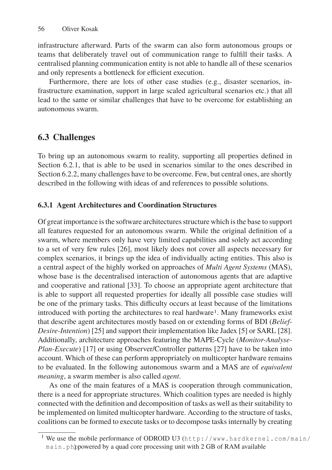infrastructure afterward. Parts of the swarm can also form autonomous groups or teams that deliberately travel out of communication range to fulfill their tasks. A centralised planning communication entity is not able to handle all of these scenarios and only represents a bottleneck for efficient execution.

Furthermore, there are lots of other case studies (e.g., disaster scenarios, infrastructure examination, support in large scaled agricultural scenarios etc.) that all lead to the same or similar challenges that have to be overcome for establishing an autonomous swarm.

# **6.3 Challenges**

To bring up an autonomous swarm to reality, supporting all properties defined in Section 6.2.1, that is able to be used in scenarios similar to the ones described in Section 6.2.2, many challenges have to be overcome. Few, but central ones, are shortly described in the following with ideas of and references to possible solutions.

### **6.3.1 Agent Architectures and Coordination Structures**

Of great importance is the software architectures structure which is the base to support all features requested for an autonomous swarm. While the original definition of a swarm, where members only have very limited capabilities and solely act according to a set of very few rules [26], most likely does not cover all aspects necessary for complex scenarios, it brings up the idea of individually acting entities. This also is a central aspect of the highly worked on approaches of *Multi Agent Systems* (MAS), whose base is the decentralised interaction of autonomous agents that are adaptive and cooperative and rational [33]. To choose an appropriate agent architecture that is able to support all requested properties for ideally all possible case studies will be one of the primary tasks. This difficulty occurs at least because of the limitations introduced with porting the architectures to real hardware<sup>1</sup>. Many frameworks exist that describe agent architectures mostly based on or extending forms of BDI (*Belief-Desire-Intention*) [25] and support their implementation like Jadex [5] or SARL [28]. Additionally, architecture approaches featuring the MAPE-Cycle (*Monitor-Analyse-Plan-Execute*) [17] or using Observer/Controller patterns [27] have to be taken into account. Which of these can perform appropriately on multicopter hardware remains to be evaluated. In the following autonomous swarm and a MAS are of *equivalent meaning*, a swarm member is also called *agent*.

As one of the main features of a MAS is cooperation through communication, there is a need for appropriate structures. Which coalition types are needed is highly connected with the definition and decomposition of tasks as well as their suitability to be implemented on limited multicopter hardware. According to the structure of tasks, coalitions can be formed to execute tasks or to decompose tasks internally by creating

<sup>&</sup>lt;sup>1</sup> We use the mobile performance of ODROID U3 (http://www.hardkernel.com/main/ main.phpowered by a quad core processing unit with 2 GB of RAM available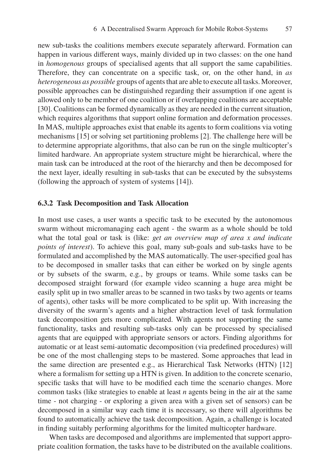new sub-tasks the coalitions members execute separately afterward. Formation can happen in various different ways, mainly divided up in two classes: on the one hand in *homogenous* groups of specialised agents that all support the same capabilities. Therefore, they can concentrate on a specific task, or, on the other hand, in *as heterogeneous as possible* groups of agents that are able to execute all tasks. Moreover, possible approaches can be distinguished regarding their assumption if one agent is allowed only to be member of one coalition or if overlapping coalitions are acceptable [30]. Coalitions can be formed dynamically as they are needed in the current situation, which requires algorithms that support online formation and deformation processes. In MAS, multiple approaches exist that enable its agents to form coalitions via voting mechanisms [15] or solving set partitioning problems [2]. The challenge here will be to determine appropriate algorithms, that also can be run on the single multicopter's limited hardware. An appropriate system structure might be hierarchical, where the main task can be introduced at the root of the hierarchy and then be decomposed for the next layer, ideally resulting in sub-tasks that can be executed by the subsystems (following the approach of system of systems [14]).

#### **6.3.2 Task Decomposition and Task Allocation**

In most use cases, a user wants a specific task to be executed by the autonomous swarm without micromanaging each agent - the swarm as a whole should be told what the total goal or task is (like: *get an overview map of area x and indicate points of interest*). To achieve this goal, many sub-goals and sub-tasks have to be formulated and accomplished by the MAS automatically. The user-specified goal has to be decomposed in smaller tasks that can either be worked on by single agents or by subsets of the swarm, e.g., by groups or teams. While some tasks can be decomposed straight forward (for example video scanning a huge area might be easily split up in two smaller areas to be scanned in two tasks by two agents or teams of agents), other tasks will be more complicated to be split up. With increasing the diversity of the swarm's agents and a higher abstraction level of task formulation task decomposition gets more complicated. With agents not supporting the same functionality, tasks and resulting sub-tasks only can be processed by specialised agents that are equipped with appropriate sensors or actors. Finding algorithms for automatic or at least semi-automatic decomposition (via predefined procedures) will be one of the most challenging steps to be mastered. Some approaches that lead in the same direction are presented e.g., as Hierarchical Task Networks (HTN) [12] where a formalism for setting up a HTN is given. In addition to the concrete scenario, specific tasks that will have to be modified each time the scenario changes. More common tasks (like strategies to enable at least *n* agents being in the air at the same time - not charging - or exploring a given area with a given set of sensors) can be decomposed in a similar way each time it is necessary, so there will algorithms be found to automatically achieve the task decomposition. Again, a challenge is located in finding suitably performing algorithms for the limited multicopter hardware.

When tasks are decomposed and algorithms are implemented that support appropriate coalition formation, the tasks have to be distributed on the available coalitions.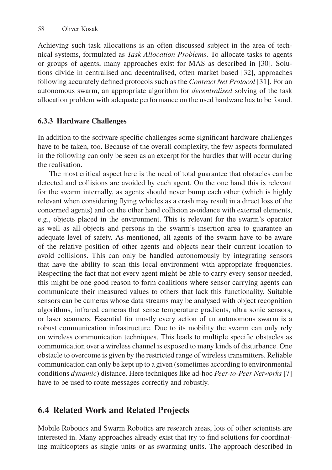Achieving such task allocations is an often discussed subject in the area of technical systems, formulated as *Task Allocation Problems*. To allocate tasks to agents or groups of agents, many approaches exist for MAS as described in [30]. Solutions divide in centralised and decentralised, often market based [32], approaches following accurately defined protocols such as the *Contract Net Protocol* [31]. For an autonomous swarm, an appropriate algorithm for *decentralised* solving of the task allocation problem with adequate performance on the used hardware has to be found.

# **6.3.3 Hardware Challenges**

In addition to the software specific challenges some significant hardware challenges have to be taken, too. Because of the overall complexity, the few aspects formulated in the following can only be seen as an excerpt for the hurdles that will occur during the realisation.

The most critical aspect here is the need of total guarantee that obstacles can be detected and collisions are avoided by each agent. On the one hand this is relevant for the swarm internally, as agents should never bump each other (which is highly relevant when considering flying vehicles as a crash may result in a direct loss of the concerned agents) and on the other hand collision avoidance with external elements, e.g., objects placed in the environment. This is relevant for the swarm's operator as well as all objects and persons in the swarm's insertion area to guarantee an adequate level of safety. As mentioned, all agents of the swarm have to be aware of the relative position of other agents and objects near their current location to avoid collisions. This can only be handled autonomously by integrating sensors that have the ability to scan this local environment with appropriate frequencies. Respecting the fact that not every agent might be able to carry every sensor needed, this might be one good reason to form coalitions where sensor carrying agents can communicate their measured values to others that lack this functionality. Suitable sensors can be cameras whose data streams may be analysed with object recognition algorithms, infrared cameras that sense temperature gradients, ultra sonic sensors, or laser scanners. Essential for mostly every action of an autonomous swarm is a robust communication infrastructure. Due to its mobility the swarm can only rely on wireless communication techniques. This leads to multiple specific obstacles as communication over a wireless channel is exposed to many kinds of disturbance. One obstacle to overcome is given by the restricted range of wireless transmitters. Reliable communication can only be kept up to a given (sometimes according to environmental conditions *dynamic*) distance. Here techniques like ad-hoc *Peer-to-Peer Networks* [7] have to be used to route messages correctly and robustly.

# **6.4 Related Work and Related Projects**

Mobile Robotics and Swarm Robotics are research areas, lots of other scientists are interested in. Many approaches already exist that try to find solutions for coordinating multicopters as single units or as swarming units. The approach described in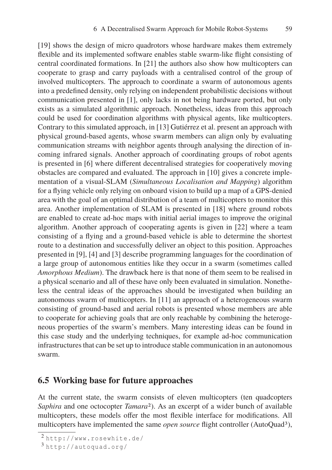[19] shows the design of micro quadrotors whose hardware makes them extremely flexible and its implemented software enables stable swarm-like flight consisting of central coordinated formations. In [21] the authors also show how multicopters can cooperate to grasp and carry payloads with a centralised control of the group of involved multicopters. The approach to coordinate a swarm of autonomous agents into a predefined density, only relying on independent probabilistic decisions without communication presented in [1], only lacks in not being hardware ported, but only exists as a simulated algorithmic approach. Nonetheless, ideas from this approach could be used for coordination algorithms with physical agents, like multicopters. Contrary to this simulated approach, in [13] Gutiérrez et al. present an approach with physical ground-based agents, whose swarm members can align only by evaluating communication streams with neighbor agents through analysing the direction of incoming infrared signals. Another approach of coordinating groups of robot agents is presented in [6] where different decentralised strategies for cooperatively moving obstacles are compared and evaluated. The approach in [10] gives a concrete implementation of a visual-SLAM (*Simultaneous Localisation and Mapping*) algorithm for a flying vehicle only relying on onboard vision to build up a map of a GPS-denied area with the goal of an optimal distribution of a team of multicopters to monitor this area. Another implementation of SLAM is presented in [18] where ground robots are enabled to create ad-hoc maps with initial aerial images to improve the original algorithm. Another approach of cooperating agents is given in [22] where a team consisting of a flying and a ground-based vehicle is able to determine the shortest route to a destination and successfully deliver an object to this position. Approaches presented in [9], [4] and [3] describe programming languages for the coordination of a large group of autonomous entities like they occur in a swarm (sometimes called *Amorphous Medium*). The drawback here is that none of them seem to be realised in a physical scenario and all of these have only been evaluated in simulation. Nonetheless the central ideas of the approaches should be investigated when building an autonomous swarm of multicopters. In [11] an approach of a heterogeneous swarm consisting of ground-based and aerial robots is presented whose members are able to cooperate for achieving goals that are only reachable by combining the heterogeneous properties of the swarm's members. Many interesting ideas can be found in this case study and the underlying techniques, for example ad-hoc communication infrastructures that can be set up to introduce stable communication in an autonomous swarm.

### **6.5 Working base for future approaches**

At the current state, the swarm consists of eleven multicopters (ten quadcopters *Saphira* and one octocopter *Tamara*2). As an excerpt of a wider bunch of available multicopters, these models offer the most flexible interface for modifications. All multicopters have implemented the same *open source* flight controller (AutoQuad3),

<sup>2</sup> http://www.rosewhite.de/

<sup>3</sup> http://autoquad.org/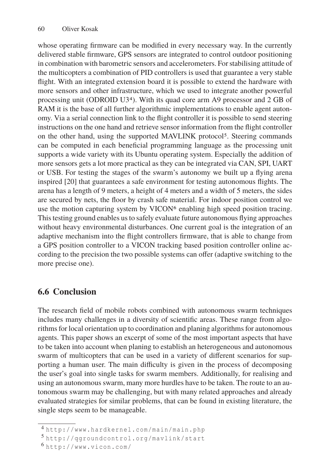whose operating firmware can be modified in every necessary way. In the currently delivered stable firmware, GPS sensors are integrated to control outdoor positioning in combination with barometric sensors and accelerometers. For stabilising attitude of the multicopters a combination of PID controllers is used that guarantee a very stable flight. With an integrated extension board it is possible to extend the hardware with more sensors and other infrastructure, which we used to integrate another powerful processing unit (ODROID U34). With its quad core arm A9 processor and 2 GB of RAM it is the base of all further algorithmic implementations to enable agent autonomy. Via a serial connection link to the flight controller it is possible to send steering instructions on the one hand and retrieve sensor information from the flight controller on the other hand, using the supported MAVLINK protocol<sup>5</sup>. Steering commands can be computed in each beneficial programming language as the processing unit supports a wide variety with its Ubuntu operating system. Especially the addition of more sensors gets a lot more practical as they can be integrated via CAN, SPI, UART or USB. For testing the stages of the swarm's autonomy we built up a flying arena inspired [20] that guarantees a safe environment for testing autonomous flights. The arena has a length of 9 meters, a height of 4 meters and a width of 5 meters, the sides are secured by nets, the floor by crash safe material. For indoor position control we use the motion capturing system by VICON $\epsilon$  enabling high speed position tracing. This testing ground enables us to safely evaluate future autonomous flying approaches without heavy environmental disturbances. One current goal is the integration of an adaptive mechanism into the flight controllers firmware, that is able to change from a GPS position controller to a VICON tracking based position controller online according to the precision the two possible systems can offer (adaptive switching to the more precise one).

# **6.6 Conclusion**

The research field of mobile robots combined with autonomous swarm techniques includes many challenges in a diversity of scientific areas. These range from algorithms for local orientation up to coordination and planing algorithms for autonomous agents. This paper shows an excerpt of some of the most important aspects that have to be taken into account when planing to establish an heterogeneous and autonomous swarm of multicopters that can be used in a variety of different scenarios for supporting a human user. The main difficulty is given in the process of decomposing the user's goal into single tasks for swarm members. Additionally, for realising and using an autonomous swarm, many more hurdles have to be taken. The route to an autonomous swarm may be challenging, but with many related approaches and already evaluated strategies for similar problems, that can be found in existing literature, the single steps seem to be manageable.

<sup>4</sup> http://www.hardkernel.com/main/main.php

<sup>5</sup> http://qgroundcontrol.org/mavlink/start

<sup>6</sup> http://www.vicon.com/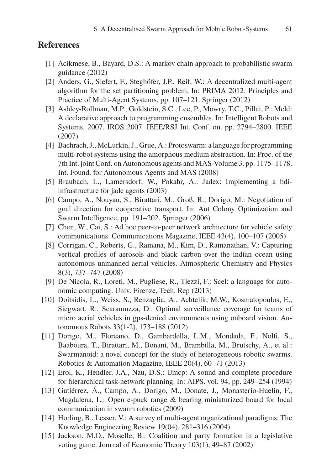### **References**

- [1] Acikmese, B., Bayard, D.S.: A markov chain approach to probabilistic swarm guidance (2012)
- [2] Anders, G., Siefert, F., Steghöfer, J.P., Reif, W.: A decentralized multi-agent algorithm for the set partitioning problem. In: PRIMA 2012: Principles and Practice of Multi-Agent Systems, pp. 107–121. Springer (2012)
- [3] Ashley-Rollman, M.P., Goldstein, S.C., Lee, P., Mowry, T.C., Pillai, P.: Meld: A declarative approach to programming ensembles. In: Intelligent Robots and Systems, 2007. IROS 2007. IEEE/RSJ Int. Conf. on. pp. 2794–2800. IEEE (2007)
- [4] Bachrach, J., McLurkin, J., Grue, A.: Protoswarm: a language for programming multi-robot systems using the amorphous medium abstraction. In: Proc. of the 7th Int. joint Conf. on Autonomous agents and MAS-Volume 3. pp. 1175–1178. Int. Found. for Autonomous Agents and MAS (2008)
- [5] Braubach, L., Lamersdorf, W., Pokahr, A.: Jadex: Implementing a bdiinfrastructure for jade agents (2003)
- [6] Campo, A., Nouyan, S., Birattari, M., Groß, R., Dorigo, M.: Negotiation of goal direction for cooperative transport. In: Ant Colony Optimization and Swarm Intelligence, pp. 191–202. Springer (2006)
- [7] Chen, W., Cai, S.: Ad hoc peer-to-peer network architecture for vehicle safety communications. Communications Magazine, IEEE 43(4), 100–107 (2005)
- [8] Corrigan, C., Roberts, G., Ramana, M., Kim, D., Ramanathan, V.: Capturing vertical profiles of aerosols and black carbon over the indian ocean using autonomous unmanned aerial vehicles. Atmospheric Chemistry and Physics 8(3), 737–747 (2008)
- [9] De Nicola, R., Loreti, M., Pugliese, R., Tiezzi, F.: Scel: a language for autonomic computing. Univ. Firenze, Tech. Rep (2013)
- [10] Doitsidis, L., Weiss, S., Renzaglia, A., Achtelik, M.W., Kosmatopoulos, E., Siegwart, R., Scaramuzza, D.: Optimal surveillance coverage for teams of micro aerial vehicles in gps-denied environments using onboard vision. Autonomous Robots 33(1-2), 173–188 (2012)
- [11] Dorigo, M., Floreano, D., Gambardella, L.M., Mondada, F., Nolfi, S., Baaboura, T., Birattari, M., Bonani, M., Brambilla, M., Brutschy, A., et al.: Swarmanoid: a novel concept for the study of heterogeneous robotic swarms. Robotics & Automation Magazine, IEEE 20(4), 60–71 (2013)
- [12] Erol, K., Hendler, J.A., Nau, D.S.: Umcp: A sound and complete procedure for hierarchical task-network planning. In: AIPS. vol. 94, pp. 249–254 (1994)
- [13] Gutiérrez, Á., Campo, A., Dorigo, M., Donate, J., Monasterio-Huelin, F., Magdalena, L.: Open e-puck range & bearing miniaturized board for local communication in swarm robotics (2009)
- [14] Horling, B., Lesser, V.: A survey of multi-agent organizational paradigms. The Knowledge Engineering Review 19(04), 281–316 (2004)
- [15] Jackson, M.O., Moselle, B.: Coalition and party formation in a legislative voting game. Journal of Economic Theory 103(1), 49–87 (2002)